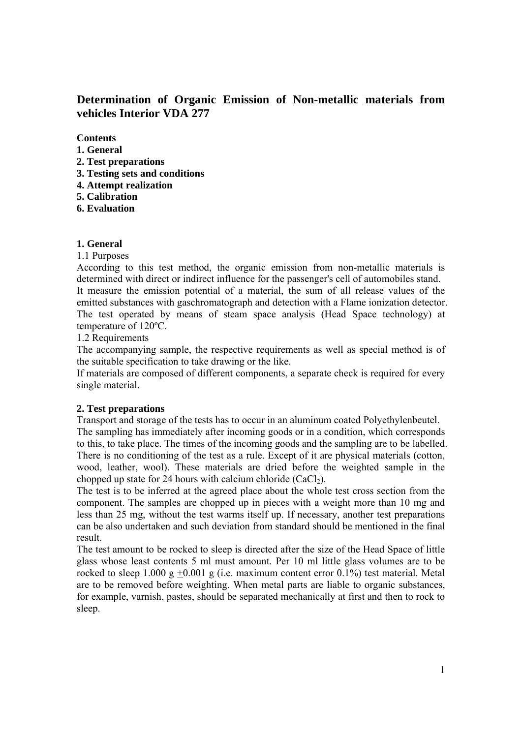**Determination of Organic Emission of Non-metallic materials from vehicles Interior VDA 277** 

**Contents** 

- **1. General**
- **2. Test preparations**
- **3. Testing sets and conditions**
- **4. Attempt realization**
- **5. Calibration**
- **6. Evaluation**

### **1. General**

1.1 Purposes

According to this test method, the organic emission from non-metallic materials is determined with direct or indirect influence for the passenger's cell of automobiles stand. It measure the emission potential of a material, the sum of all release values of the emitted substances with gaschromatograph and detection with a Flame ionization detector. The test operated by means of steam space analysis (Head Space technology) at temperature of 120ºC.

1.2 Requirements

The accompanying sample, the respective requirements as well as special method is of the suitable specification to take drawing or the like.

If materials are composed of different components, a separate check is required for every single material.

## **2. Test preparations**

Transport and storage of the tests has to occur in an aluminum coated Polyethylenbeutel. The sampling has immediately after incoming goods or in a condition, which corresponds to this, to take place. The times of the incoming goods and the sampling are to be labelled. There is no conditioning of the test as a rule. Except of it are physical materials (cotton, wood, leather, wool). These materials are dried before the weighted sample in the chopped up state for 24 hours with calcium chloride  $(CaCl<sub>2</sub>)$ .

The test is to be inferred at the agreed place about the whole test cross section from the component. The samples are chopped up in pieces with a weight more than 10 mg and less than 25 mg, without the test warms itself up. If necessary, another test preparations can be also undertaken and such deviation from standard should be mentioned in the final result.

The test amount to be rocked to sleep is directed after the size of the Head Space of little glass whose least contents 5 ml must amount. Per 10 ml little glass volumes are to be rocked to sleep 1.000 g +0.001 g (i.e. maximum content error  $0.1\%$ ) test material. Metal are to be removed before weighting. When metal parts are liable to organic substances, for example, varnish, pastes, should be separated mechanically at first and then to rock to sleep.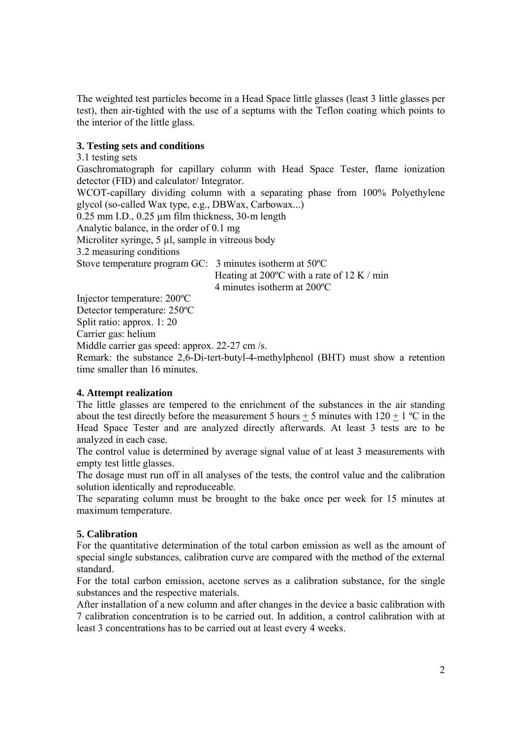The weighted test particles become in a Head Space little glasses (least 3 little glasses per test), then air-tighted with the use of a septums with the Teflon coating which points to the interior of the little glass.

## **3. Testing sets and conditions**

3.1 testing sets

Gaschromatograph for capillary column with Head Space Tester, flame ionization detector (FID) and calculator/ Integrator.

WCOT-capillary dividing column with a separating phase from 100% Polyethylene glycol (so-called Wax type, e.g., DBWax, Carbowax...)

0.25 mm I.D., 0.25 µm film thickness, 30-m length

Analytic balance, in the order of 0.1 mg

Microliter syringe, 5 µl, sample in vitreous body

3.2 measuring conditions

Stove temperature program GC: 3 minutes isotherm at 50ºC

 Heating at 200ºC with a rate of 12 K / min 4 minutes isotherm at 200ºC

Injector temperature: 200ºC

Detector temperature: 250ºC

Split ratio: approx. 1: 20

Carrier gas: helium

Middle carrier gas speed: approx. 22-27 cm /s.

Remark: the substance 2,6-Di-tert-butyl-4-methylphenol (BHT) must show a retention time smaller than 16 minutes.

# **4. Attempt realization**

The little glasses are tempered to the enrichment of the substances in the air standing about the test directly before the measurement 5 hours  $\pm$  5 minutes with 120  $\pm$  1 °C in the Head Space Tester and are analyzed directly afterwards. At least 3 tests are to be analyzed in each case.

The control value is determined by average signal value of at least 3 measurements with empty test little glasses.

The dosage must run off in all analyses of the tests, the control value and the calibration solution identically and reproduceable.

The separating column must be brought to the bake once per week for 15 minutes at maximum temperature.

## **5. Calibration**

For the quantitative determination of the total carbon emission as well as the amount of special single substances, calibration curve are compared with the method of the external standard.

For the total carbon emission, acetone serves as a calibration substance, for the single substances and the respective materials.

After installation of a new column and after changes in the device a basic calibration with 7 calibration concentration is to be carried out. In addition, a control calibration with at least 3 concentrations has to be carried out at least every 4 weeks.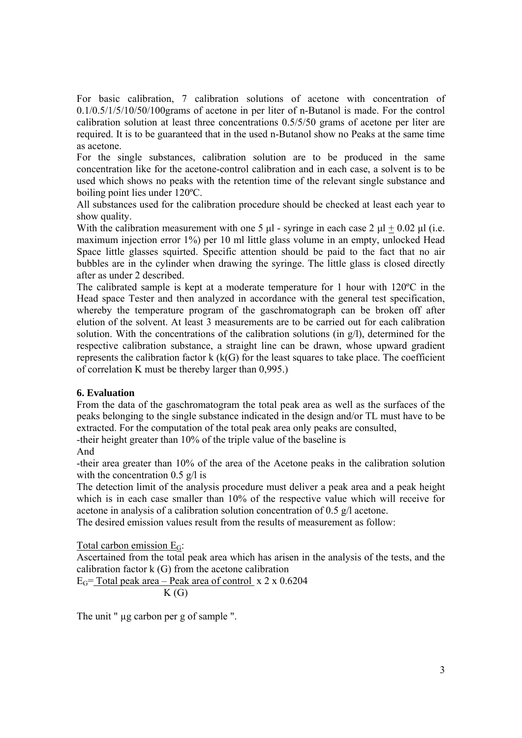For basic calibration, 7 calibration solutions of acetone with concentration of 0.1/0.5/1/5/10/50/100grams of acetone in per liter of n-Butanol is made. For the control calibration solution at least three concentrations 0.5/5/50 grams of acetone per liter are required. It is to be guaranteed that in the used n-Butanol show no Peaks at the same time as acetone.

For the single substances, calibration solution are to be produced in the same concentration like for the acetone-control calibration and in each case, a solvent is to be used which shows no peaks with the retention time of the relevant single substance and boiling point lies under 120ºC.

All substances used for the calibration procedure should be checked at least each year to show quality.

With the calibration measurement with one 5  $\mu$  - syringe in each case 2  $\mu$  + 0.02  $\mu$  (i.e. maximum injection error 1%) per 10 ml little glass volume in an empty, unlocked Head Space little glasses squirted. Specific attention should be paid to the fact that no air bubbles are in the cylinder when drawing the syringe. The little glass is closed directly after as under 2 described.

The calibrated sample is kept at a moderate temperature for 1 hour with 120ºC in the Head space Tester and then analyzed in accordance with the general test specification, whereby the temperature program of the gaschromatograph can be broken off after elution of the solvent. At least 3 measurements are to be carried out for each calibration solution. With the concentrations of the calibration solutions (in g/l), determined for the respective calibration substance, a straight line can be drawn, whose upward gradient represents the calibration factor  $k$  ( $k(G)$ ) for the least squares to take place. The coefficient of correlation K must be thereby larger than 0,995.)

## **6. Evaluation**

From the data of the gaschromatogram the total peak area as well as the surfaces of the peaks belonging to the single substance indicated in the design and/or TL must have to be extracted. For the computation of the total peak area only peaks are consulted, -their height greater than 10% of the triple value of the baseline is

And

-their area greater than 10% of the area of the Acetone peaks in the calibration solution with the concentration  $0.5 \text{ g}/\text{l}$  is

The detection limit of the analysis procedure must deliver a peak area and a peak height which is in each case smaller than 10% of the respective value which will receive for acetone in analysis of a calibration solution concentration of 0.5 g/l acetone.

The desired emission values result from the results of measurement as follow:

Total carbon emission  $E_G$ :

Ascertained from the total peak area which has arisen in the analysis of the tests, and the calibration factor k (G) from the acetone calibration

 $E<sub>G</sub>$  = Total peak area – Peak area of control x 2 x 0.6204  $K(G)$ 

The unit "  $\mu$ g carbon per g of sample ".